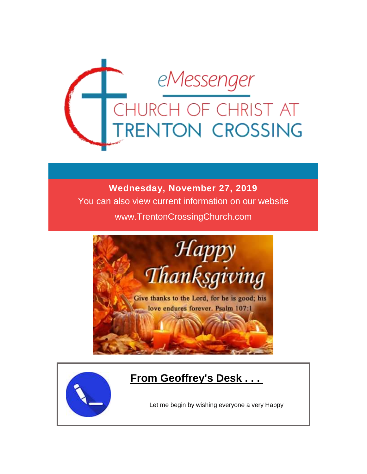

### **Wednesday, November 27, 2019**

You can also view current information on our website

www.TrentonCrossingChurch.com



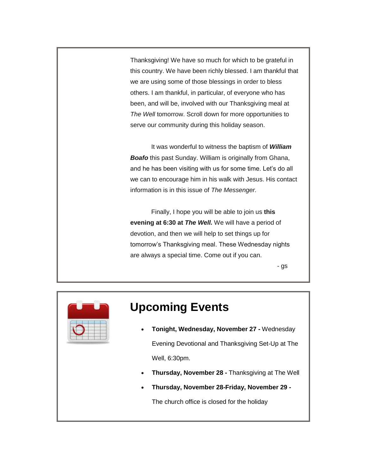Thanksgiving! We have so much for which to be grateful in this country. We have been richly blessed. I am thankful that we are using some of those blessings in order to bless others. I am thankful, in particular, of everyone who has been, and will be, involved with our Thanksgiving meal at *The Well* tomorrow. Scroll down for more opportunities to serve our community during this holiday season.

 It was wonderful to witness the baptism of *William Boafo* this past Sunday. William is originally from Ghana, and he has been visiting with us for some time. Let's do all we can to encourage him in his walk with Jesus. His contact information is in this issue of *The Messenger.*

 Finally, I hope you will be able to join us **this evening at 6:30 at** *The Well.* We will have a period of devotion, and then we will help to set things up for tomorrow's Thanksgiving meal. These Wednesday nights are always a special time. Come out if you can.

- gs



## **Upcoming Events**

- **Tonight, Wednesday, November 27 -** Wednesday Evening Devotional and Thanksgiving Set-Up at The Well, 6:30pm.
- **Thursday, November 28 -** Thanksgiving at The Well
- **Thursday, November 28-Friday, November 29 -**

The church office is closed for the holiday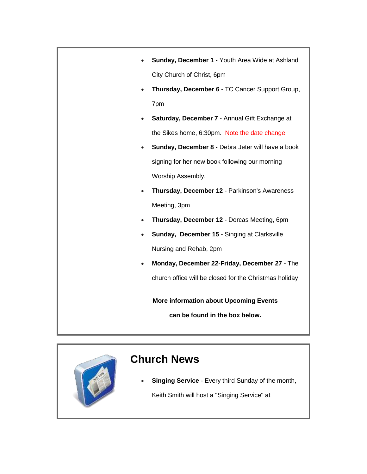| Sunday, December 1 - Youth Area Wide at Ashland        |
|--------------------------------------------------------|
| City Church of Christ, 6pm                             |
| Thursday, December 6 - TC Cancer Support Group,        |
| 7pm                                                    |
| Saturday, December 7 - Annual Gift Exchange at         |
| the Sikes home, 6:30pm. Note the date change           |
| Sunday, December 8 - Debra Jeter will have a book      |
| signing for her new book following our morning         |
| Worship Assembly.                                      |
| Thursday, December 12 - Parkinson's Awareness          |
| Meeting, 3pm                                           |
| Thursday, December 12 - Dorcas Meeting, 6pm            |
| Sunday, December 15 - Singing at Clarksville           |
| Nursing and Rehab, 2pm                                 |
| Monday, December 22-Friday, December 27 - The          |
| church office will be closed for the Christmas holiday |
| <b>More information about Upcoming Events</b>          |
| can be found in the box below.                         |



### **Church News**

 **Singing Service** - Every third Sunday of the month, Keith Smith will host a "Singing Service" at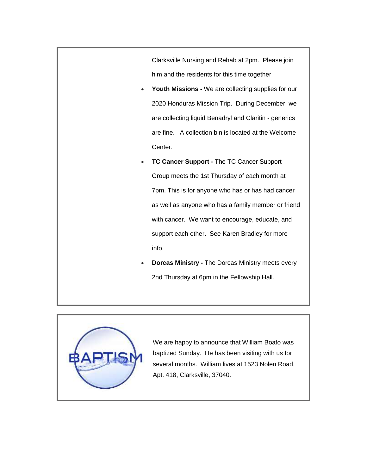Clarksville Nursing and Rehab at 2pm. Please join him and the residents for this time together

- **Youth Missions -** We are collecting supplies for our 2020 Honduras Mission Trip. During December, we are collecting liquid Benadryl and Claritin - generics are fine. A collection bin is located at the Welcome Center.
- **TC Cancer Support -** The TC Cancer Support Group meets the 1st Thursday of each month at 7pm. This is for anyone who has or has had cancer as well as anyone who has a family member or friend with cancer. We want to encourage, educate, and support each other. See Karen Bradley for more info.
- **Dorcas Ministry -** The Dorcas Ministry meets every 2nd Thursday at 6pm in the Fellowship Hall.



We are happy to announce that William Boafo was baptized Sunday. He has been visiting with us for several months. William lives at 1523 Nolen Road, Apt. 418, Clarksville, 37040.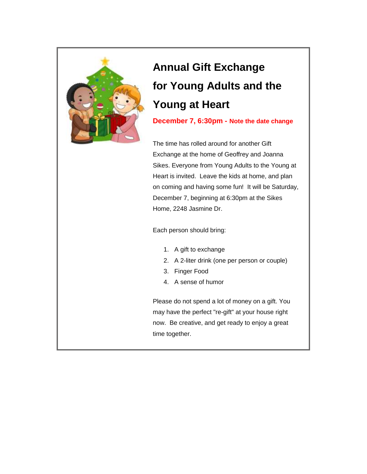

# **Annual Gift Exchange for Young Adults and the Young at Heart**

**December 7, 6:30pm - Note the date change**

The time has rolled around for another Gift Exchange at the home of Geoffrey and Joanna Sikes. Everyone from Young Adults to the Young at Heart is invited. Leave the kids at home, and plan on coming and having some fun! It will be Saturday, December 7, beginning at 6:30pm at the Sikes Home, 2248 Jasmine Dr.

Each person should bring:

- 1. A gift to exchange
- 2. A 2-liter drink (one per person or couple)
- 3. Finger Food
- 4. A sense of humor

Please do not spend a lot of money on a gift. You may have the perfect "re-gift" at your house right now. Be creative, and get ready to enjoy a great time together.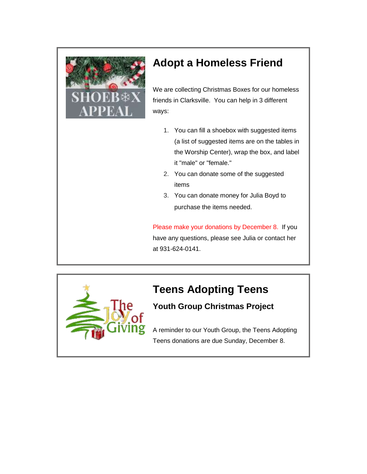

## **Adopt a Homeless Friend**

We are collecting Christmas Boxes for our homeless friends in Clarksville. You can help in 3 different ways:

- 1. You can fill a shoebox with suggested items (a list of suggested items are on the tables in the Worship Center), wrap the box, and label it "male" or "female."
- 2. You can donate some of the suggested items
- 3. You can donate money for Julia Boyd to purchase the items needed.

Please make your donations by December 8. If you have any questions, please see Julia or contact her at 931-624-0141.



# **Teens Adopting Teens**

### **Youth Group Christmas Project**

A reminder to our Youth Group, the Teens Adopting Teens donations are due Sunday, December 8.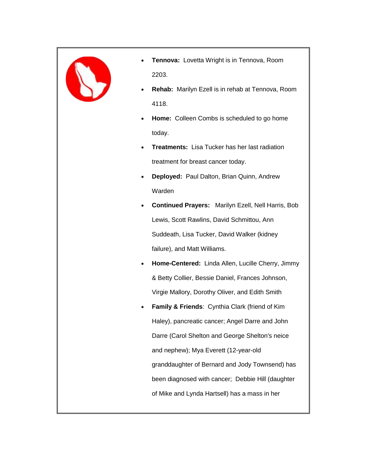

- **Tennova:** Lovetta Wright is in Tennova, Room 2203.
- **Rehab:** Marilyn Ezell is in rehab at Tennova, Room 4118.
- **Home:** Colleen Combs is scheduled to go home today.
- **Treatments:** Lisa Tucker has her last radiation treatment for breast cancer today.
- **Deployed:** Paul Dalton, Brian Quinn, Andrew Warden
- **Continued Prayers:** Marilyn Ezell, Nell Harris, Bob Lewis, Scott Rawlins, David Schmittou, Ann Suddeath, Lisa Tucker, David Walker (kidney failure), and Matt Williams.
- **Home-Centered:** Linda Allen, Lucille Cherry, Jimmy & Betty Collier, Bessie Daniel, Frances Johnson, Virgie Mallory, Dorothy Oliver, and Edith Smith
- **Family & Friends**: Cynthia Clark (friend of Kim Haley), pancreatic cancer; Angel Darre and John Darre (Carol Shelton and George Shelton's neice and nephew); Mya Everett (12-year-old granddaughter of Bernard and Jody Townsend) has been diagnosed with cancer; Debbie Hill (daughter of Mike and Lynda Hartsell) has a mass in her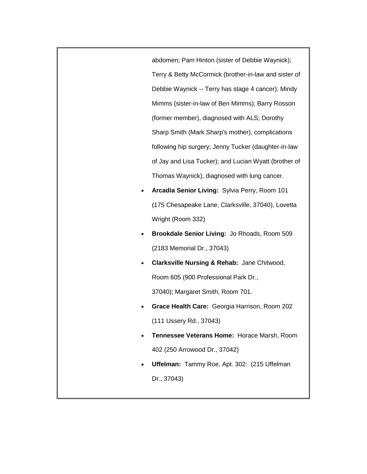abdomen; Pam Hinton (sister of Debbie Waynick); Terry & Betty McCormick (brother-in-law and sister of Debbie Waynick -- Terry has stage 4 cancer); Mindy Mimms (sister-in-law of Ben Mimms); Barry Rosson (former member), diagnosed with ALS; Dorothy Sharp Smith (Mark Sharp's mother), complications following hip surgery; Jenny Tucker (daughter-in-law of Jay and Lisa Tucker); and Lucian Wyatt (brother of Thomas Waynick), diagnosed with lung cancer.

- **Arcadia Senior Living:** Sylvia Perry, Room 101 (175 Chesapeake Lane, Clarksville, 37040), Lovetta Wright (Room 332)
- **Brookdale Senior Living:** Jo Rhoads, Room 509 (2183 Memorial Dr., 37043)
- **Clarksville Nursing & Rehab:** Jane Chitwood, Room 605 (900 Professional Park Dr.,

37040); Margaret Smith, Room 701.

- **Grace Health Care:** Georgia Harrison, Room 202 (111 Ussery Rd., 37043)
- **Tennessee Veterans Home:** Horace Marsh, Room 402 (250 Arrowood Dr., 37042)
- **Uffelman:** Tammy Roe, Apt. 302: (215 Uffelman Dr., 37043)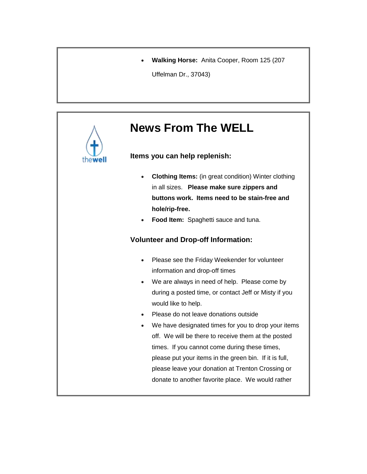**Walking Horse:** Anita Cooper, Room 125 (207

Uffelman Dr., 37043)

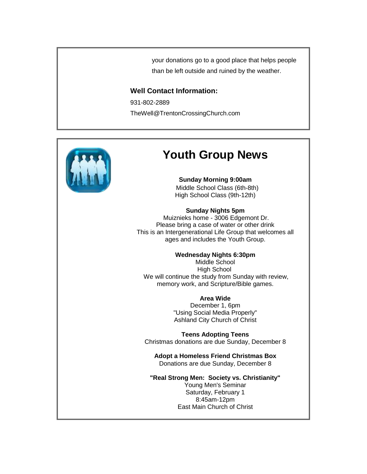your donations go to a good place that helps people than be left outside and ruined by the weather.

#### **Well Contact Information:**

931-802-2889 TheWell@TrentonCrossingChurch.com



### **Youth Group News**

**Sunday Morning 9:00am** Middle School Class (6th-8th) High School Class (9th-12th)

#### **Sunday Nights 5pm**

Muiznieks home - 3006 Edgemont Dr. Please bring a case of water or other drink This is an Intergenerational Life Group that welcomes all ages and includes the Youth Group.

#### **Wednesday Nights 6:30pm**

Middle School High School We will continue the study from Sunday with review, memory work, and Scripture/Bible games.

#### **Area Wide**

December 1, 6pm "Using Social Media Properly" Ashland City Church of Christ

**Teens Adopting Teens** Christmas donations are due Sunday, December 8

**Adopt a Homeless Friend Christmas Box** Donations are due Sunday, December 8

**"Real Strong Men: Society vs. Christianity"** Young Men's Seminar Saturday, February 1 8:45am-12pm East Main Church of Christ